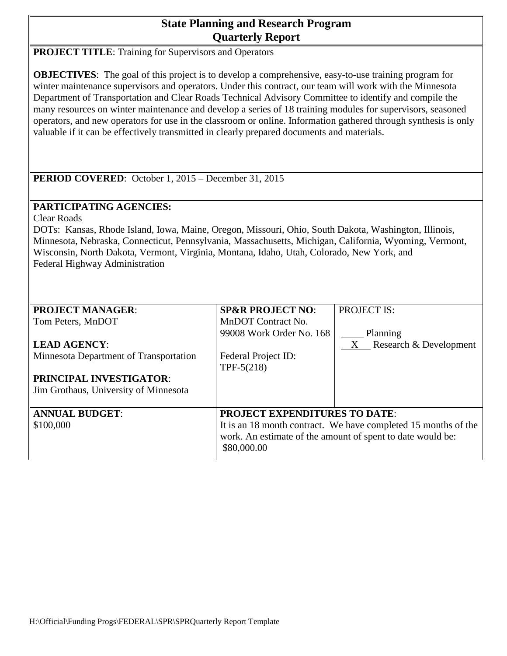# **State Planning and Research Program Quarterly Report**

**PROJECT TITLE:** Training for Supervisors and Operators

**OBJECTIVES**: The goal of this project is to develop a comprehensive, easy-to-use training program for winter maintenance supervisors and operators. Under this contract, our team will work with the Minnesota Department of Transportation and Clear Roads Technical Advisory Committee to identify and compile the many resources on winter maintenance and develop a series of 18 training modules for supervisors, seasoned operators, and new operators for use in the classroom or online. Information gathered through synthesis is only valuable if it can be effectively transmitted in clearly prepared documents and materials.

**PERIOD COVERED**: October 1, 2015 – December 31, 2015

## **PARTICIPATING AGENCIES:**

Clear Roads

DOTs: Kansas, Rhode Island, Iowa, Maine, Oregon, Missouri, Ohio, South Dakota, Washington, Illinois, Minnesota, Nebraska, Connecticut, Pennsylvania, Massachusetts, Michigan, California, Wyoming, Vermont, Wisconsin, North Dakota, Vermont, Virginia, Montana, Idaho, Utah, Colorado, New York, and Federal Highway Administration

| <b>PROJECT MANAGER:</b>                | <b>SP&amp;R PROJECT NO:</b>                                | <b>PROJECT IS:</b>                                             |  |  |  |  |
|----------------------------------------|------------------------------------------------------------|----------------------------------------------------------------|--|--|--|--|
| Tom Peters, MnDOT                      | MnDOT Contract No.                                         |                                                                |  |  |  |  |
|                                        | 99008 Work Order No. 168                                   | Planning                                                       |  |  |  |  |
| <b>LEAD AGENCY:</b>                    |                                                            | $X$ Research & Development                                     |  |  |  |  |
| Minnesota Department of Transportation | Federal Project ID:                                        |                                                                |  |  |  |  |
|                                        | $TPF-5(218)$                                               |                                                                |  |  |  |  |
| PRINCIPAL INVESTIGATOR:                |                                                            |                                                                |  |  |  |  |
| Jim Grothaus, University of Minnesota  |                                                            |                                                                |  |  |  |  |
|                                        |                                                            |                                                                |  |  |  |  |
| <b>ANNUAL BUDGET:</b>                  |                                                            | <b>PROJECT EXPENDITURES TO DATE:</b>                           |  |  |  |  |
| \$100,000                              |                                                            | It is an 18 month contract. We have completed 15 months of the |  |  |  |  |
|                                        | work. An estimate of the amount of spent to date would be: |                                                                |  |  |  |  |
|                                        | \$80,000.00                                                |                                                                |  |  |  |  |
|                                        |                                                            |                                                                |  |  |  |  |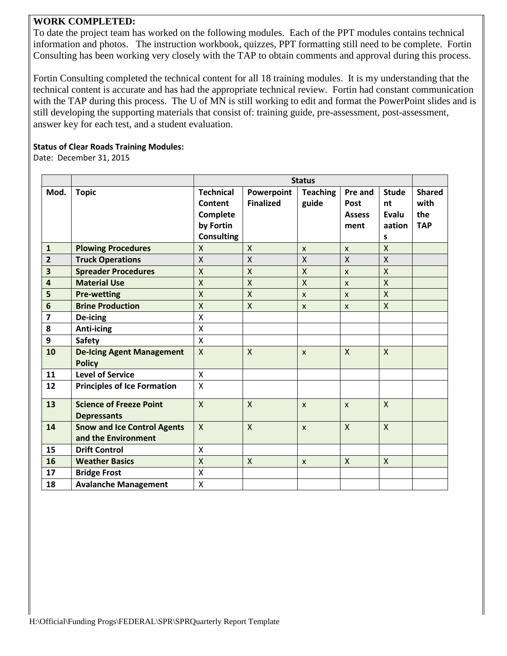### **WORK COMPLETED:**

To date the project team has worked on the following modules. Each of the PPT modules contains technical information and photos. The instruction workbook, quizzes, PPT formatting still need to be complete. Fortin Consulting has been working very closely with the TAP to obtain comments and approval during this process.

Fortin Consulting completed the technical content for all 18 training modules. It is my understanding that the technical content is accurate and has had the appropriate technical review. Fortin had constant communication with the TAP during this process. The U of MN is still working to edit and format the PowerPoint slides and is still developing the supporting materials that consist of: training guide, pre-assessment, post-assessment, answer key for each test, and a student evaluation.

#### **Status of Clear Roads Training Modules:**

Date: December 31, 2015

|                |                                                           | <b>Status</b>                                                             |                                |                           |                                          |                                            |                                            |
|----------------|-----------------------------------------------------------|---------------------------------------------------------------------------|--------------------------------|---------------------------|------------------------------------------|--------------------------------------------|--------------------------------------------|
| Mod.           | <b>Topic</b>                                              | <b>Technical</b><br>Content<br>Complete<br>by Fortin<br><b>Consulting</b> | Powerpoint<br><b>Finalized</b> | <b>Teaching</b><br>guide  | Pre and<br>Post<br><b>Assess</b><br>ment | <b>Stude</b><br>nt<br>Evalu<br>aation<br>S | <b>Shared</b><br>with<br>the<br><b>TAP</b> |
| $\mathbf{1}$   | <b>Plowing Procedures</b>                                 | X                                                                         | $\mathsf{X}$                   | $\mathsf{x}$              | $\mathsf{x}$                             | $\sf X$                                    |                                            |
| $\overline{2}$ | <b>Truck Operations</b>                                   | $\mathsf{X}$                                                              | $\mathsf{X}$                   | $\mathsf{X}$              | $\mathsf{X}$                             | $\mathsf{X}$                               |                                            |
| 3              | <b>Spreader Procedures</b>                                | $\overline{X}$                                                            | $\mathsf{X}$                   | X                         | $\mathsf{x}$                             | X                                          |                                            |
| 4              | <b>Material Use</b>                                       | $\mathsf{\chi}$                                                           | $\mathsf{X}$                   | $\mathsf{X}$              | $\boldsymbol{\mathsf{x}}$                | $\mathsf{X}$                               |                                            |
| 5              | <b>Pre-wetting</b>                                        | $\mathsf{X}$                                                              | $\mathsf{X}$                   | $\mathsf{x}$              | $\boldsymbol{\mathsf{x}}$                | $\overline{X}$                             |                                            |
| 6              | <b>Brine Production</b>                                   | X                                                                         | $\mathsf{X}$                   | $\boldsymbol{\mathsf{x}}$ | $\boldsymbol{\mathsf{x}}$                | X                                          |                                            |
| 7              | De-icing                                                  | X                                                                         |                                |                           |                                          |                                            |                                            |
| 8              | Anti-icing                                                | $\mathsf{X}$                                                              |                                |                           |                                          |                                            |                                            |
| 9              | <b>Safety</b>                                             | $\boldsymbol{\mathsf{X}}$                                                 |                                |                           |                                          |                                            |                                            |
| 10             | <b>De-Icing Agent Management</b><br><b>Policy</b>         | $\mathsf{X}$                                                              | $\mathsf{x}$                   | $\mathsf{x}$              | $\mathsf{X}$                             | $\mathsf{X}$                               |                                            |
| 11             | <b>Level of Service</b>                                   | $\pmb{\times}$                                                            |                                |                           |                                          |                                            |                                            |
| 12             | <b>Principles of Ice Formation</b>                        | $\sf X$                                                                   |                                |                           |                                          |                                            |                                            |
| 13             | <b>Science of Freeze Point</b><br><b>Depressants</b>      | $\mathsf{X}$                                                              | $\mathsf{X}$                   | $\mathsf{x}$              | $\boldsymbol{\mathsf{x}}$                | $\pmb{\mathsf{X}}$                         |                                            |
| 14             | <b>Snow and Ice Control Agents</b><br>and the Environment | $\mathsf{x}$                                                              | $\mathsf{x}$                   | $\mathsf{x}$              | $\mathsf{X}$                             | $\sf X$                                    |                                            |
| 15             | <b>Drift Control</b>                                      | $\sf X$                                                                   |                                |                           |                                          |                                            |                                            |
| 16             | <b>Weather Basics</b>                                     | $\sf X$                                                                   | $\mathsf{x}$                   | $\boldsymbol{\mathsf{x}}$ | $\mathsf{X}$                             | $\pmb{\mathsf{X}}$                         |                                            |
| 17             | <b>Bridge Frost</b>                                       | X                                                                         |                                |                           |                                          |                                            |                                            |
| 18             | <b>Avalanche Management</b>                               | $\pmb{\times}$                                                            |                                |                           |                                          |                                            |                                            |